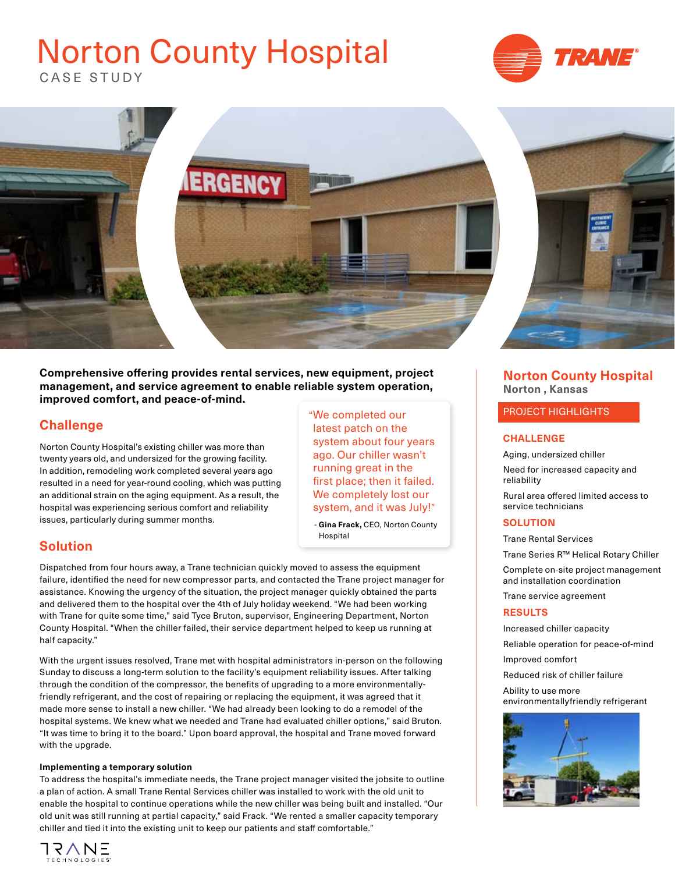# CASE STUDY Norton County Hospital





**Comprehensive offering provides rental services, new equipment, project management, and service agreement to enable reliable system operation, improved comfort, and peace-of-mind.** 

# **Challenge**

Norton County Hospital's existing chiller was more than twenty years old, and undersized for the growing facility. In addition, remodeling work completed several years ago resulted in a need for year-round cooling, which was putting an additional strain on the aging equipment. As a result, the hospital was experiencing serious comfort and reliability issues, particularly during summer months.

## **Solution**

Dispatched from four hours away, a Trane technician quickly moved to assess the equipment failure, identified the need for new compressor parts, and contacted the Trane project manager for assistance. Knowing the urgency of the situation, the project manager quickly obtained the parts and delivered them to the hospital over the 4th of July holiday weekend. "We had been working with Trane for quite some time," said Tyce Bruton, supervisor, Engineering Department, Norton County Hospital. "When the chiller failed, their service department helped to keep us running at half capacity."

With the urgent issues resolved, Trane met with hospital administrators in-person on the following Sunday to discuss a long-term solution to the facility's equipment reliability issues. After talking through the condition of the compressor, the benefits of upgrading to a more environmentallyfriendly refrigerant, and the cost of repairing or replacing the equipment, it was agreed that it made more sense to install a new chiller. "We had already been looking to do a remodel of the hospital systems. We knew what we needed and Trane had evaluated chiller options," said Bruton. "It was time to bring it to the board." Upon board approval, the hospital and Trane moved forward with the upgrade.

#### **Implementing a temporary solution**

To address the hospital's immediate needs, the Trane project manager visited the jobsite to outline a plan of action. A small Trane Rental Services chiller was installed to work with the old unit to enable the hospital to continue operations while the new chiller was being built and installed. "Our old unit was still running at partial capacity," said Frack. "We rented a smaller capacity temporary chiller and tied it into the existing unit to keep our patients and staff comfortable."



"We completed our latest patch on the system about four years ago. Our chiller wasn't running great in the first place; then it failed. We completely lost our system, and it was July!"

 - **Gina Frack,** CEO, Norton County Hospital

### **Norton County Hospital Norton , Kansas**

#### PROJECT HIGHLIGHTS

#### **CHALLENGE**

Aging, undersized chiller

Need for increased capacity and reliability

Rural area offered limited access to service technicians

#### **SOLUTION**

Trane Rental Services

Trane Series R™ Helical Rotary Chiller

Complete on-site project management and installation coordination

Trane service agreement

#### **RESULTS**

Increased chiller capacity

Reliable operation for peace-of-mind

Improved comfort

Reduced risk of chiller failure

Ability to use more environmentallyfriendly refrigerant